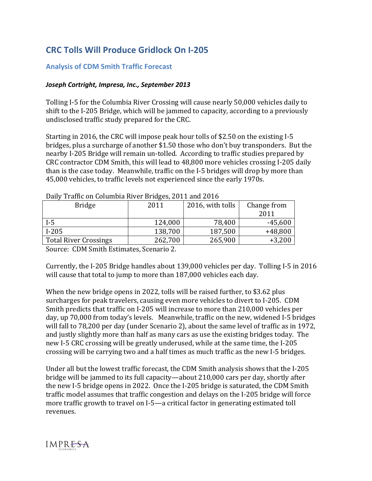# **CRC Tolls Will Produce Gridlock On I-205**

#### **Analysis of CDM Smith Traffic Forecast**

#### *Joseph Cortright, Impresa, Inc., September 2013*

Tolling I-5 for the Columbia River Crossing will cause nearly 50,000 vehicles daily to shift to the I-205 Bridge, which will be jammed to capacity, according to a previously undisclosed traffic study prepared for the CRC.

Starting in 2016, the CRC will impose peak hour tolls of \$2.50 on the existing I-5 bridges, plus a surcharge of another \$1.50 those who don't buy transponders. But the nearby I-205 Bridge will remain un-tolled. According to traffic studies prepared by CRC contractor CDM Smith, this will lead to 48,800 more vehicles crossing I-205 daily than is the case today. Meanwhile, traffic on the I-5 bridges will drop by more than 45,000 vehicles, to traffic levels not experienced since the early 1970s.

| ------<br>$\frac{1}{2}$ . The state of $\frac{1}{2}$ is the state of $\frac{1}{2}$ , $\frac{1}{2}$ , $\frac{1}{2}$ , $\frac{1}{2}$ , $\frac{1}{2}$ , $\frac{1}{2}$ |         |                  |             |  |  |  |  |  |  |  |  |
|--------------------------------------------------------------------------------------------------------------------------------------------------------------------|---------|------------------|-------------|--|--|--|--|--|--|--|--|
| <b>Bridge</b>                                                                                                                                                      | 2011    | 2016, with tolls | Change from |  |  |  |  |  |  |  |  |
|                                                                                                                                                                    |         |                  | 2011        |  |  |  |  |  |  |  |  |
| $I-5$                                                                                                                                                              | 124,000 | 78,400           | $-45,600$   |  |  |  |  |  |  |  |  |
| $I-205$                                                                                                                                                            | 138,700 | 187,500          | $+48,800$   |  |  |  |  |  |  |  |  |
| <b>Total River Crossings</b>                                                                                                                                       | 262,700 | 265,900          | $+3,200$    |  |  |  |  |  |  |  |  |
|                                                                                                                                                                    |         |                  |             |  |  |  |  |  |  |  |  |

Daily Traffic on Columbia River Bridges, 2011 and 2016

Source: CDM Smith Estimates, Scenario 2.

Currently, the I-205 Bridge handles about 139,000 vehicles per day. Tolling I-5 in 2016 will cause that total to jump to more than 187,000 vehicles each day.

When the new bridge opens in 2022, tolls will be raised further, to \$3.62 plus surcharges for peak travelers, causing even more vehicles to divert to I-205. CDM Smith predicts that traffic on I-205 will increase to more than 210,000 vehicles per day, up 70,000 from today's levels. Meanwhile, traffic on the new, widened I-5 bridges will fall to 78,200 per day (under Scenario 2), about the same level of traffic as in 1972, and justly slightly more than half as many cars as use the existing bridges today. The new I-5 CRC crossing will be greatly underused, while at the same time, the I-205 crossing will be carrying two and a half times as much traffic as the new I-5 bridges.

Under all but the lowest traffic forecast, the CDM Smith analysis shows that the I-205 bridge will be jammed to its full capacity—about 210,000 cars per day, shortly after the new I-5 bridge opens in 2022. Once the I-205 bridge is saturated, the CDM Smith traffic model assumes that traffic congestion and delays on the I-205 bridge will force more traffic growth to travel on I-5—a critical factor in generating estimated toll revenues.

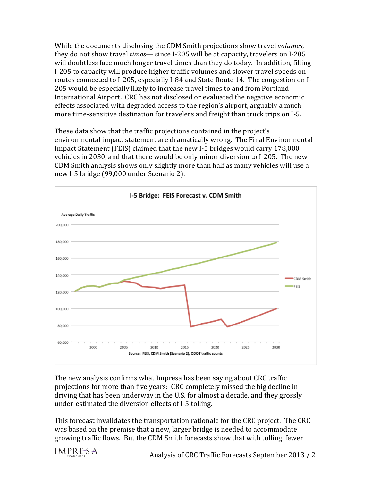While the documents disclosing the CDM Smith projections show travel *volumes*, they do not show travel *times*— since I-205 will be at capacity, travelers on I-205 will doubtless face much longer travel times than they do today. In addition, filling I-205 to capacity will produce higher traffic volumes and slower travel speeds on routes connected to I-205, especially I-84 and State Route 14. The congestion on I-205 would be especially likely to increase travel times to and from Portland International Airport. CRC has not disclosed or evaluated the negative economic effects associated with degraded access to the region's airport, arguably a much more time-sensitive destination for travelers and freight than truck trips on I-5.

These data show that the traffic projections contained in the project's environmental impact statement are dramatically wrong. The Final Environmental Impact Statement (FEIS) claimed that the new I-5 bridges would carry 178,000 vehicles in 2030, and that there would be only minor diversion to I-205. The new CDM Smith analysis shows only slightly more than half as many vehicles will use a new I-5 bridge (99,000 under Scenario 2).



The new analysis confirms what Impresa has been saying about CRC traffic projections for more than five years: CRC completely missed the big decline in driving that has been underway in the U.S. for almost a decade, and they grossly under-estimated the diversion effects of I-5 tolling.

This forecast invalidates the transportation rationale for the CRC project. The CRC was based on the premise that a new, larger bridge is needed to accommodate growing traffic flows. But the CDM Smith forecasts show that with tolling, fewer

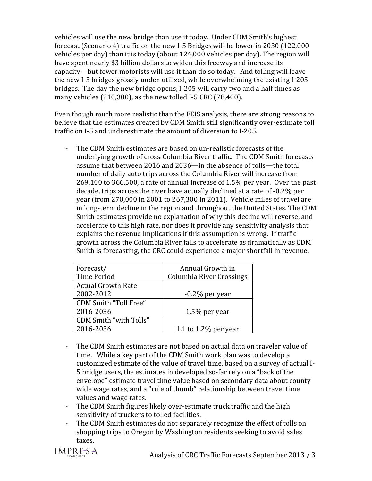vehicles will use the new bridge than use it today. Under CDM Smith's highest forecast (Scenario 4) traffic on the new I-5 Bridges will be lower in 2030 (122,000) vehicles per day) than it is today (about  $124,000$  vehicles per day). The region will have spent nearly \$3 billion dollars to widen this freeway and increase its capacity—but fewer motorists will use it than do so today. And tolling will leave the new I-5 bridges grossly under-utilized, while overwhelming the existing I-205 bridges. The day the new bridge opens, I-205 will carry two and a half times as many vehicles  $(210,300)$ , as the new tolled I-5 CRC  $(78,400)$ .

Even though much more realistic than the FEIS analysis, there are strong reasons to believe that the estimates created by CDM Smith still significantly over-estimate toll traffic on I-5 and underestimate the amount of diversion to I-205.

- The CDM Smith estimates are based on un-realistic forecasts of the underlying growth of cross-Columbia River traffic. The CDM Smith forecasts assume that between 2016 and 2036—in the absence of tolls—the total number of daily auto trips across the Columbia River will increase from  $269,100$  to  $366,500$ , a rate of annual increase of 1.5% per year. Over the past decade, trips across the river have actually declined at a rate of -0.2% per year (from  $270,000$  in  $2001$  to  $267,300$  in  $2011$ ). Vehicle miles of travel are in long-term decline in the region and throughout the United States. The CDM Smith estimates provide no explanation of why this decline will reverse, and accelerate to this high rate, nor does it provide any sensitivity analysis that explains the revenue implications if this assumption is wrong. If traffic growth across the Columbia River fails to accelerate as dramatically as CDM Smith is forecasting, the CRC could experience a major shortfall in revenue.

| Forecast/                 | Annual Growth in         |
|---------------------------|--------------------------|
| <b>Time Period</b>        | Columbia River Crossings |
| <b>Actual Growth Rate</b> |                          |
| 2002-2012                 | $-0.2\%$ per year        |
| CDM Smith "Toll Free"     |                          |
| 2016-2036                 | $1.5\%$ per year         |
| CDM Smith "with Tolls"    |                          |
| 2016-2036                 | 1.1 to $1.2\%$ per year  |

- The CDM Smith estimates are not based on actual data on traveler value of time. While a key part of the CDM Smith work plan was to develop a customized estimate of the value of travel time, based on a survey of actual I-5 bridge users, the estimates in developed so-far rely on a "back of the envelope" estimate travel time value based on secondary data about countywide wage rates, and a "rule of thumb" relationship between travel time values and wage rates.
- The CDM Smith figures likely over-estimate truck traffic and the high sensitivity of truckers to tolled facilities.
- The CDM Smith estimates do not separately recognize the effect of tolls on shopping trips to Oregon by Washington residents seeking to avoid sales taxes.

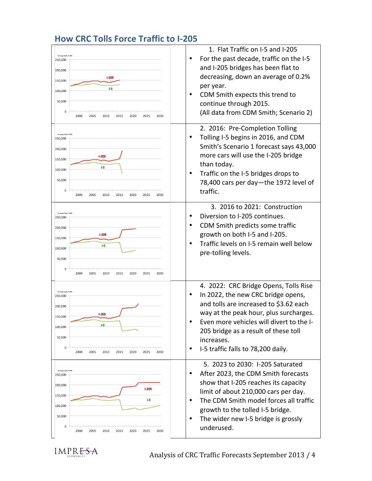

## **How CRC Tolls Force Traffic to I-205**

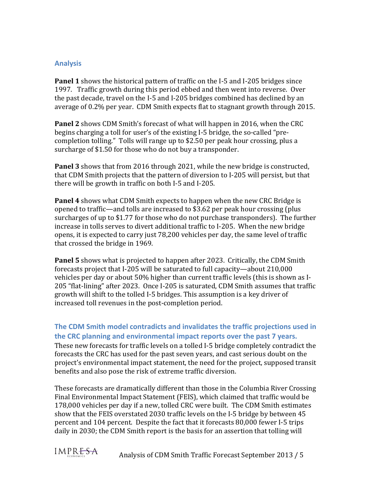#### **Analysis**

**Panel 1** shows the historical pattern of traffic on the I-5 and I-205 bridges since 1997. Traffic growth during this period ebbed and then went into reverse. Over the past decade, travel on the I-5 and I-205 bridges combined has declined by an average of 0.2% per year. CDM Smith expects flat to stagnant growth through 2015.

**Panel 2** shows CDM Smith's forecast of what will happen in 2016, when the CRC begins charging a toll for user's of the existing I-5 bridge, the so-called "precompletion tolling." Tolls will range up to \$2.50 per peak hour crossing, plus a surcharge of \$1.50 for those who do not buy a transponder.

**Panel 3** shows that from 2016 through 2021, while the new bridge is constructed, that CDM Smith projects that the pattern of diversion to I-205 will persist, but that there will be growth in traffic on both I-5 and I-205.

**Panel 4** shows what CDM Smith expects to happen when the new CRC Bridge is opened to traffic—and tolls are increased to \$3.62 per peak hour crossing (plus surcharges of up to \$1.77 for those who do not purchase transponders). The further increase in tolls serves to divert additional traffic to I-205. When the new bridge opens, it is expected to carry just 78,200 vehicles per day, the same level of traffic that crossed the bridge in 1969.

**Panel 5** shows what is projected to happen after 2023. Critically, the CDM Smith forecasts project that I-205 will be saturated to full capacity—about 210,000 vehicles per day or about 50% higher than current traffic levels (this is shown as I-205 "flat-lining" after 2023. Once I-205 is saturated, CDM Smith assumes that traffic growth will shift to the tolled I-5 bridges. This assumption is a key driver of increased toll revenues in the post-completion period.

**The CDM Smith model contradicts and invalidates the traffic projections used in the CRC planning and environmental impact reports over the past 7 years.** These new forecasts for traffic levels on a tolled I-5 bridge completely contradict the forecasts the CRC has used for the past seven years, and cast serious doubt on the project's environmental impact statement, the need for the project, supposed transit

benefits and also pose the risk of extreme traffic diversion.

These forecasts are dramatically different than those in the Columbia River Crossing Final Environmental Impact Statement (FEIS), which claimed that traffic would be 178,000 vehicles per day if a new, tolled CRC were built. The CDM Smith estimates show that the FEIS overstated 2030 traffic levels on the I-5 bridge by between 45 percent and 104 percent. Despite the fact that it forecasts 80,000 fewer I-5 trips daily in 2030; the CDM Smith report is the basis for an assertion that tolling will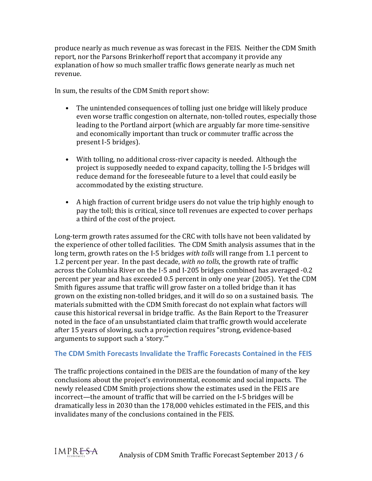produce nearly as much revenue as was forecast in the FEIS. Neither the CDM Smith report, nor the Parsons Brinkerhoff report that accompany it provide any explanation of how so much smaller traffic flows generate nearly as much net revenue.

In sum, the results of the CDM Smith report show:

- The unintended consequences of tolling just one bridge will likely produce even worse traffic congestion on alternate, non-tolled routes, especially those leading to the Portland airport (which are arguably far more time-sensitive and economically important than truck or commuter traffic across the present I-5 bridges).
- With tolling, no additional cross-river capacity is needed. Although the project is supposedly needed to expand capacity, tolling the I-5 bridges will reduce demand for the foreseeable future to a level that could easily be accommodated by the existing structure.
- A high fraction of current bridge users do not value the trip highly enough to pay the toll; this is critical, since toll revenues are expected to cover perhaps a third of the cost of the project.

Long-term growth rates assumed for the CRC with tolls have not been validated by the experience of other tolled facilities. The CDM Smith analysis assumes that in the long term, growth rates on the I-5 bridges *with tolls* will range from 1.1 percent to 1.2 percent per year. In the past decade, *with no tolls*, the growth rate of traffic across the Columbia River on the I-5 and I-205 bridges combined has averaged -0.2 percent per year and has exceeded 0.5 percent in only one year (2005). Yet the CDM Smith figures assume that traffic will grow faster on a tolled bridge than it has grown on the existing non-tolled bridges, and it will do so on a sustained basis. The materials submitted with the CDM Smith forecast do not explain what factors will cause this historical reversal in bridge traffic. As the Bain Report to the Treasurer noted in the face of an unsubstantiated claim that traffic growth would accelerate after 15 years of slowing, such a projection requires "strong, evidence-based arguments to support such a 'story."

## **The CDM Smith Forecasts Invalidate the Traffic Forecasts Contained in the FEIS**

The traffic projections contained in the DEIS are the foundation of many of the key conclusions about the project's environmental, economic and social impacts. The newly released CDM Smith projections show the estimates used in the FEIS are incorrect—the amount of traffic that will be carried on the I-5 bridges will be dramatically less in 2030 than the 178,000 vehicles estimated in the FEIS, and this invalidates many of the conclusions contained in the FEIS.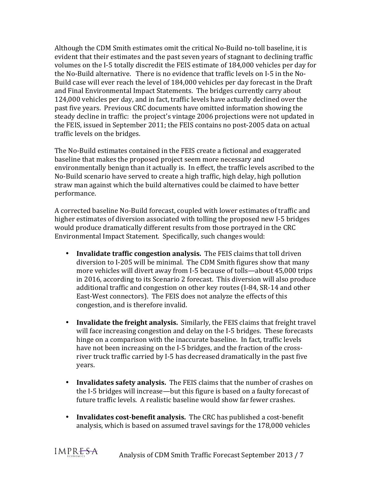Although the CDM Smith estimates omit the critical No-Build no-toll baseline, it is evident that their estimates and the past seven years of stagnant to declining traffic volumes on the I-5 totally discredit the FEIS estimate of 184,000 vehicles per day for the No-Build alternative. There is no evidence that traffic levels on I-5 in the No-Build case will ever reach the level of 184,000 vehicles per day forecast in the Draft and Final Environmental Impact Statements. The bridges currently carry about 124,000 vehicles per day, and in fact, traffic levels have actually declined over the past five years. Previous CRC documents have omitted information showing the steady decline in traffic: the project's vintage 2006 projections were not updated in the FEIS, issued in September 2011; the FEIS contains no post-2005 data on actual traffic levels on the bridges.

The No-Build estimates contained in the FEIS create a fictional and exaggerated baseline that makes the proposed project seem more necessary and environmentally benign than it actually is. In effect, the traffic levels ascribed to the No-Build scenario have served to create a high traffic, high delay, high pollution straw man against which the build alternatives could be claimed to have better performance.

A corrected baseline No-Build forecast, coupled with lower estimates of traffic and higher estimates of diversion associated with tolling the proposed new I-5 bridges would produce dramatically different results from those portrayed in the CRC Environmental Impact Statement. Specifically, such changes would:

- Invalidate traffic congestion analysis. The FEIS claims that toll driven diversion to I-205 will be minimal. The CDM Smith figures show that many more vehicles will divert away from I-5 because of tolls—about 45,000 trips in 2016, according to its Scenario 2 forecast. This diversion will also produce additional traffic and congestion on other key routes (I-84, SR-14 and other East-West connectors). The FEIS does not analyze the effects of this congestion, and is therefore invalid.
- **Invalidate the freight analysis.** Similarly, the FEIS claims that freight travel will face increasing congestion and delay on the I-5 bridges. These forecasts hinge on a comparison with the inaccurate baseline. In fact, traffic levels have not been increasing on the I-5 bridges, and the fraction of the crossriver truck traffic carried by I-5 has decreased dramatically in the past five years.
- **Invalidates safety analysis.** The FEIS claims that the number of crashes on the I-5 bridges will increase—but this figure is based on a faulty forecast of future traffic levels. A realistic baseline would show far fewer crashes.
- **Invalidates cost-benefit analysis.** The CRC has published a cost-benefit analysis, which is based on assumed travel savings for the 178,000 vehicles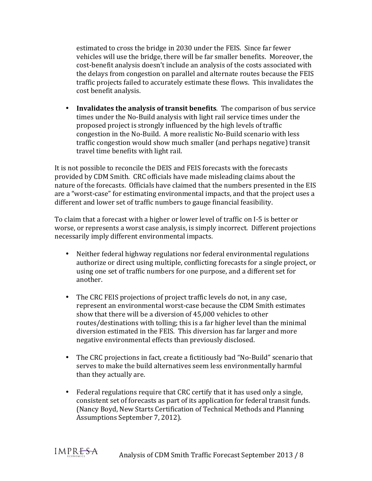estimated to cross the bridge in 2030 under the FEIS. Since far fewer vehicles will use the bridge, there will be far smaller benefits. Moreover, the cost-benefit analysis doesn't include an analysis of the costs associated with the delays from congestion on parallel and alternate routes because the FEIS traffic projects failed to accurately estimate these flows. This invalidates the cost benefit analysis.

• **Invalidates the analysis of transit benefits**. The comparison of bus service times under the No-Build analysis with light rail service times under the proposed project is strongly influenced by the high levels of traffic congestion in the No-Build. A more realistic No-Build scenario with less traffic congestion would show much smaller (and perhaps negative) transit travel time benefits with light rail.

It is not possible to reconcile the DEIS and FEIS forecasts with the forecasts provided by CDM Smith. CRC officials have made misleading claims about the nature of the forecasts. Officials have claimed that the numbers presented in the EIS are a "worst-case" for estimating environmental impacts, and that the project uses a different and lower set of traffic numbers to gauge financial feasibility.

To claim that a forecast with a higher or lower level of traffic on I-5 is better or worse, or represents a worst case analysis, is simply incorrect. Different projections necessarily imply different environmental impacts.

- Neither federal highway regulations nor federal environmental regulations authorize or direct using multiple, conflicting forecasts for a single project, or using one set of traffic numbers for one purpose, and a different set for another.
- The CRC FEIS projections of project traffic levels do not, in any case, represent an environmental worst-case because the CDM Smith estimates show that there will be a diversion of 45,000 vehicles to other routes/destinations with tolling; this is a far higher level than the minimal diversion estimated in the FEIS. This diversion has far larger and more negative environmental effects than previously disclosed.
- The CRC projections in fact, create a fictitiously bad "No-Build" scenario that serves to make the build alternatives seem less environmentally harmful than they actually are.
- Federal regulations require that CRC certify that it has used only a single, consistent set of forecasts as part of its application for federal transit funds. (Nancy Boyd, New Starts Certification of Technical Methods and Planning Assumptions September 7, 2012).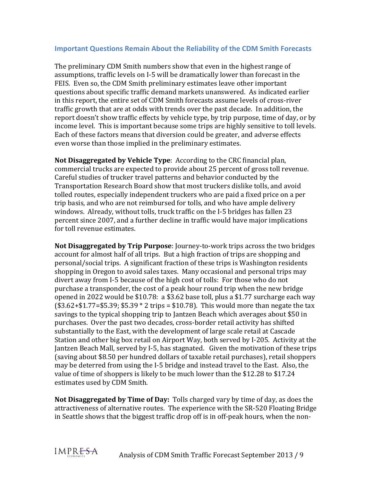#### **Important Questions Remain About the Reliability of the CDM Smith Forecasts**

The preliminary CDM Smith numbers show that even in the highest range of assumptions, traffic levels on I-5 will be dramatically lower than forecast in the FEIS. Even so, the CDM Smith preliminary estimates leave other important questions about specific traffic demand markets unanswered. As indicated earlier in this report, the entire set of CDM Smith forecasts assume levels of cross-river traffic growth that are at odds with trends over the past decade. In addition, the report doesn't show traffic effects by vehicle type, by trip purpose, time of day, or by income level. This is important because some trips are highly sensitive to toll levels. Each of these factors means that diversion could be greater, and adverse effects even worse than those implied in the preliminary estimates.

**Not Disaggregated by Vehicle Type:** According to the CRC financial plan. commercial trucks are expected to provide about 25 percent of gross toll revenue. Careful studies of trucker travel patterns and behavior conducted by the Transportation Research Board show that most truckers dislike tolls, and avoid tolled routes, especially independent truckers who are paid a fixed price on a per trip basis, and who are not reimbursed for tolls, and who have ample delivery windows. Already, without tolls, truck traffic on the I-5 bridges has fallen 23 percent since 2007, and a further decline in traffic would have major implications for toll revenue estimates.

**Not Disaggregated by Trip Purpose**: Journey-to-work trips across the two bridges account for almost half of all trips. But a high fraction of trips are shopping and personal/social trips. A significant fraction of these trips is Washington residents shopping in Oregon to avoid sales taxes. Many occasional and personal trips may divert away from I-5 because of the high cost of tolls: For those who do not purchase a transponder, the cost of a peak hour round trip when the new bridge opened in 2022 would be  $$10.78$ : a  $$3.62$  base toll, plus a  $$1.77$  surcharge each way  $($3.62 + $1.77 = $5.39; $5.39 * 2 trips = $10.78)$ . This would more than negate the tax savings to the typical shopping trip to Jantzen Beach which averages about \$50 in purchases. Over the past two decades, cross-border retail activity has shifted substantially to the East, with the development of large scale retail at Cascade Station and other big box retail on Airport Way, both served by I-205. Activity at the Jantzen Beach Mall, served by I-5, has stagnated. Given the motivation of these trips (saving about \$8.50 per hundred dollars of taxable retail purchases), retail shoppers may be deterred from using the I-5 bridge and instead travel to the East. Also, the value of time of shoppers is likely to be much lower than the \$12.28 to \$17.24 estimates used by CDM Smith.

**Not Disaggregated by Time of Day:** Tolls charged vary by time of day, as does the attractiveness of alternative routes. The experience with the SR-520 Floating Bridge in Seattle shows that the biggest traffic drop off is in off-peak hours, when the non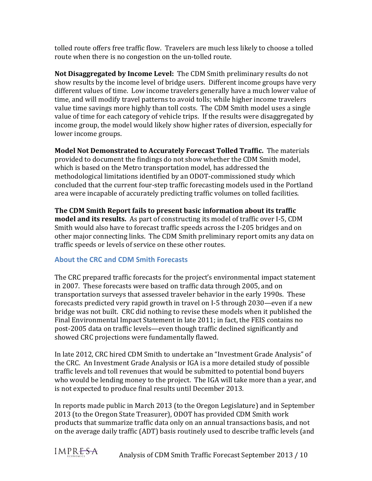tolled route offers free traffic flow. Travelers are much less likely to choose a tolled route when there is no congestion on the un-tolled route.

**Not Disaggregated by Income Level:** The CDM Smith preliminary results do not show results by the income level of bridge users. Different income groups have very different values of time. Low income travelers generally have a much lower value of time, and will modify travel patterns to avoid tolls; while higher income travelers value time savings more highly than toll costs. The CDM Smith model uses a single value of time for each category of vehicle trips. If the results were disaggregated by income group, the model would likely show higher rates of diversion, especially for lower income groups.

**Model Not Demonstrated to Accurately Forecast Tolled Traffic.** The materials provided to document the findings do not show whether the CDM Smith model, which is based on the Metro transportation model, has addressed the methodological limitations identified by an ODOT-commissioned study which concluded that the current four-step traffic forecasting models used in the Portland area were incapable of accurately predicting traffic volumes on tolled facilities.

**The CDM Smith Report fails to present basic information about its traffic model and its results.** As part of constructing its model of traffic over I-5, CDM Smith would also have to forecast traffic speeds across the I-205 bridges and on other major connecting links. The CDM Smith preliminary report omits any data on traffic speeds or levels of service on these other routes.

## **About the CRC and CDM Smith Forecasts**

The CRC prepared traffic forecasts for the project's environmental impact statement in 2007. These forecasts were based on traffic data through 2005, and on transportation surveys that assessed traveler behavior in the early 1990s. These forecasts predicted very rapid growth in travel on I-5 through 2030—even if a new bridge was not built. CRC did nothing to revise these models when it published the Final Environmental Impact Statement in late 2011; in fact, the FEIS contains no post-2005 data on traffic levels—even though traffic declined significantly and showed CRC projections were fundamentally flawed.

In late 2012, CRC hired CDM Smith to undertake an "Investment Grade Analysis" of the CRC. An Investment Grade Analysis or IGA is a more detailed study of possible traffic levels and toll revenues that would be submitted to potential bond buyers who would be lending money to the project. The IGA will take more than a year, and is not expected to produce final results until December 2013.

In reports made public in March 2013 (to the Oregon Legislature) and in September 2013 (to the Oregon State Treasurer), ODOT has provided CDM Smith work products that summarize traffic data only on an annual transactions basis, and not on the average daily traffic (ADT) basis routinely used to describe traffic levels (and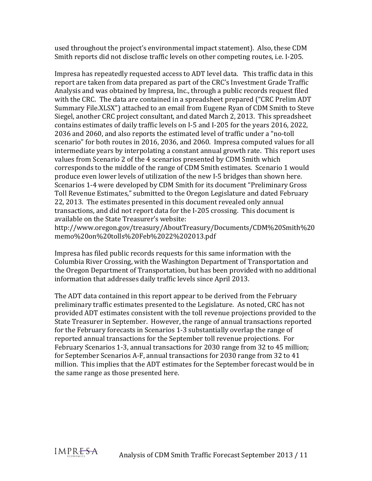used throughout the project's environmental impact statement). Also, these CDM Smith reports did not disclose traffic levels on other competing routes, i.e. I-205.

Impresa has repeatedly requested access to ADT level data. This traffic data in this report are taken from data prepared as part of the CRC's Investment Grade Traffic Analysis and was obtained by Impresa, Inc., through a public records request filed with the CRC. The data are contained in a spreadsheet prepared ("CRC Prelim ADT Summary File.XLSX") attached to an email from Eugene Ryan of CDM Smith to Steve Siegel, another CRC project consultant, and dated March 2, 2013. This spreadsheet contains estimates of daily traffic levels on I-5 and I-205 for the years 2016, 2022, 2036 and 2060, and also reports the estimated level of traffic under a "no-toll scenario" for both routes in 2016, 2036, and 2060. Impresa computed values for all intermediate years by interpolating a constant annual growth rate. This report uses values from Scenario 2 of the 4 scenarios presented by CDM Smith which corresponds to the middle of the range of CDM Smith estimates. Scenario 1 would produce even lower levels of utilization of the new I-5 bridges than shown here. Scenarios 1-4 were developed by CDM Smith for its document "Preliminary Gross" Toll Revenue Estimates," submitted to the Oregon Legislature and dated February 22, 2013. The estimates presented in this document revealed only annual transactions, and did not report data for the I-205 crossing. This document is available on the State Treasurer's website:

http://www.oregon.gov/treasury/AboutTreasury/Documents/CDM%20Smith%20 memo%20on%20tolls%20Feb%2022%202013.pdf

Impresa has filed public records requests for this same information with the Columbia River Crossing, with the Washington Department of Transportation and the Oregon Department of Transportation, but has been provided with no additional information that addresses daily traffic levels since April 2013.

The ADT data contained in this report appear to be derived from the February preliminary traffic estimates presented to the Legislature. As noted, CRC has not provided ADT estimates consistent with the toll revenue projections provided to the State Treasurer in September. However, the range of annual transactions reported for the February forecasts in Scenarios 1-3 substantially overlap the range of reported annual transactions for the September toll revenue projections. For February Scenarios 1-3, annual transactions for 2030 range from 32 to 45 million; for September Scenarios A-F, annual transactions for 2030 range from 32 to 41 million. This implies that the ADT estimates for the September forecast would be in the same range as those presented here.